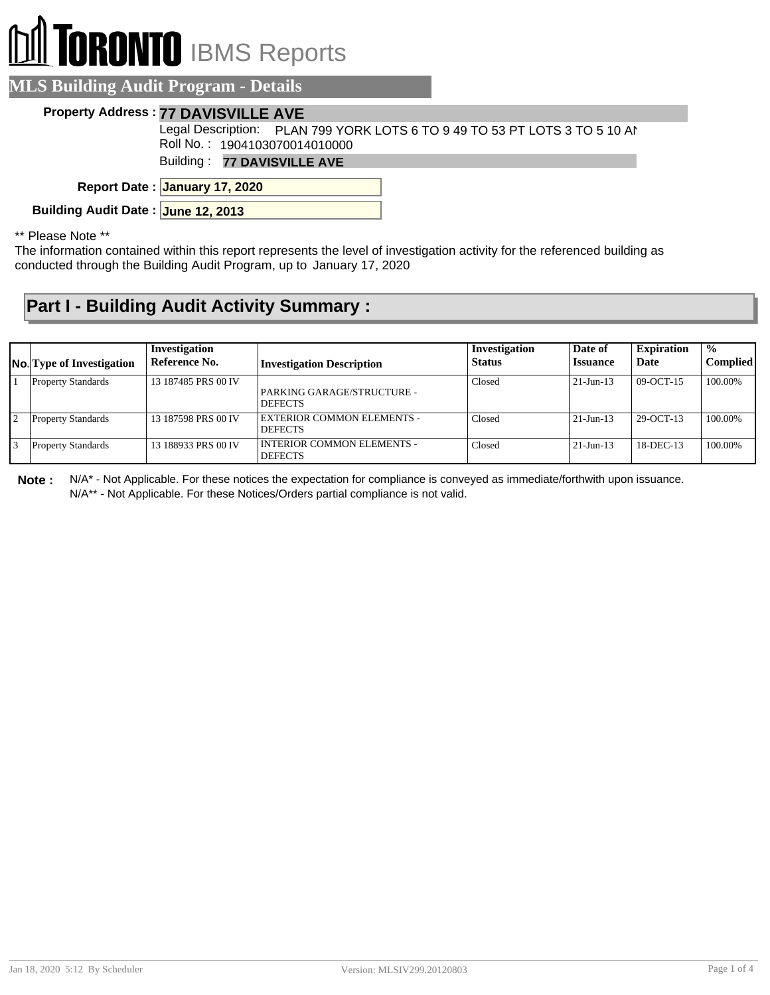# **RONTO** IBMS Reports

|                                    | <b>MLS Building Audit Program - Details</b>                                                                 |
|------------------------------------|-------------------------------------------------------------------------------------------------------------|
|                                    | <b>Property Address: 77 DAVISVILLE AVE</b>                                                                  |
|                                    | Legal Description: PLAN 799 YORK LOTS 6 TO 9 49 TO 53 PT LOTS 3 TO 5 10 AM<br>Roll No.: 1904103070014010000 |
|                                    | Building: 77 DAVISVILLE AVE                                                                                 |
|                                    | Report Date: January 17, 2020                                                                               |
| Building Audit Date: June 12, 2013 |                                                                                                             |

\*\* Please Note \*\*

The information contained within this report represents the level of investigation activity for the referenced building as conducted through the Building Audit Program, up to January 17, 2020

#### **Part I - Building Audit Activity Summary :**

|                | <b>No.</b> Type of Investigation | Investigation<br>Reference No. | <b>Investigation Description</b>                    | Investigation<br><b>Status</b> | Date of<br><i><b>Issuance</b></i> | <b>Expiration</b><br>Date | $\frac{0}{0}$<br><b>Complied</b> |
|----------------|----------------------------------|--------------------------------|-----------------------------------------------------|--------------------------------|-----------------------------------|---------------------------|----------------------------------|
|                | <b>Property Standards</b>        | 13 187485 PRS 00 IV            | PARKING GARAGE/STRUCTURE -<br><b>DEFECTS</b>        | Closed                         | $21$ -Jun-13                      | $09-OCT-15$               | 100.00%                          |
| $\overline{2}$ | <b>Property Standards</b>        | 13 187598 PRS 00 IV            | <b>EXTERIOR COMMON ELEMENTS -</b><br><b>DEFECTS</b> | Closed                         | $21$ -Jun-13                      | $29-OCT-13$               | 100.00%                          |
|                | <b>Property Standards</b>        | 13 188933 PRS 00 IV            | I INTERIOR COMMON ELEMENTS -<br><b>DEFECTS</b>      | Closed                         | $21$ -Jun-13                      | 18-DEC-13                 | 100.00%                          |

**Note :** N/A\* - Not Applicable. For these notices the expectation for compliance is conveyed as immediate/forthwith upon issuance. N/A\*\* - Not Applicable. For these Notices/Orders partial compliance is not valid.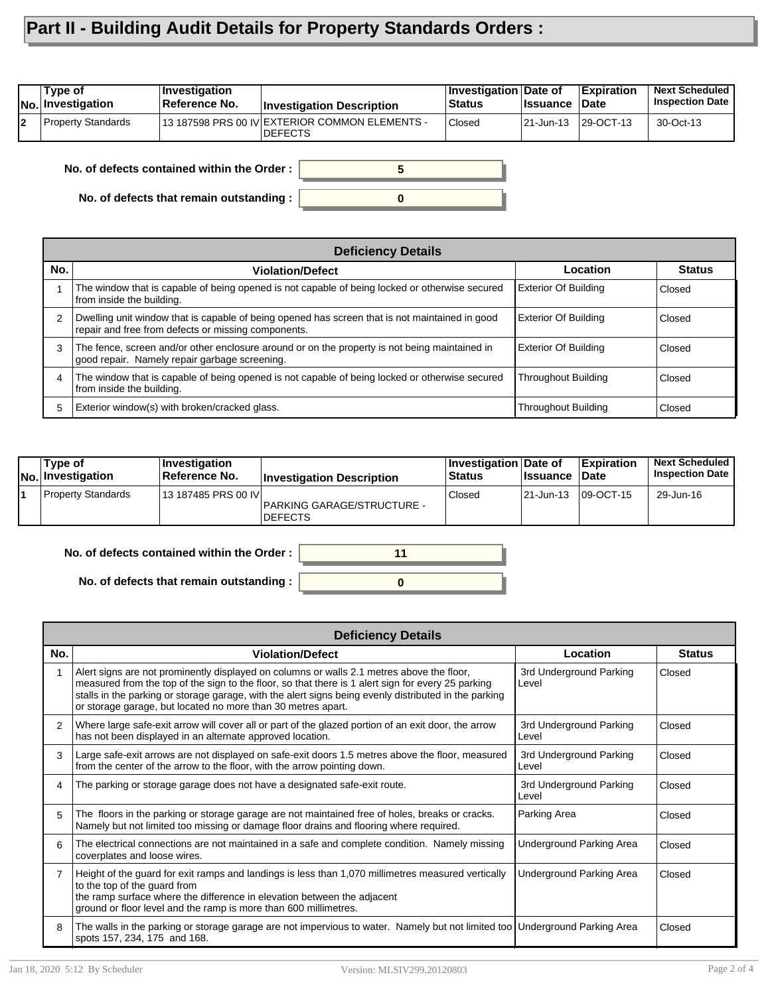### **Part II - Building Audit Details for Property Standards Orders :**

| <b>Property Standards</b><br> 13 187598 PRS 00 IV EXTERIOR COMMON ELEMENTS -<br>l2<br>Closed<br>21-Jun-13 |                         | Type of<br><b>No. Investigation</b> | <b>Investigation</b><br>∣Reference No. | <b>Investigation Description</b> | <b>Investigation Date of</b><br>Status | <b>Issuance</b> | <b>Expiration</b><br>Date | <b>Next Scheduled</b><br><b>Inspection Date</b> |
|-----------------------------------------------------------------------------------------------------------|-------------------------|-------------------------------------|----------------------------------------|----------------------------------|----------------------------------------|-----------------|---------------------------|-------------------------------------------------|
| <b>DEFECTS</b>                                                                                            | 129-OCT-13<br>30-Oct-13 |                                     |                                        |                                  |                                        |                 |                           |                                                 |

**No. of defects contained within the Order :**

**No. of defects that remain outstanding :**

|     | <b>Deficiency Details</b>                                                                                                                             |                             |               |  |  |  |  |  |
|-----|-------------------------------------------------------------------------------------------------------------------------------------------------------|-----------------------------|---------------|--|--|--|--|--|
| No. | <b>Violation/Defect</b>                                                                                                                               | Location                    | <b>Status</b> |  |  |  |  |  |
|     | The window that is capable of being opened is not capable of being locked or otherwise secured<br>from inside the building.                           | <b>Exterior Of Building</b> | Closed        |  |  |  |  |  |
| 2   | Dwelling unit window that is capable of being opened has screen that is not maintained in good<br>repair and free from defects or missing components. | <b>Exterior Of Building</b> | Closed        |  |  |  |  |  |
| 3   | The fence, screen and/or other enclosure around or on the property is not being maintained in<br>good repair. Namely repair garbage screening.        | <b>Exterior Of Building</b> | Closed        |  |  |  |  |  |
| 4   | The window that is capable of being opened is not capable of being locked or otherwise secured<br>from inside the building.                           | <b>Throughout Building</b>  | Closed        |  |  |  |  |  |
| 5   | Exterior window(s) with broken/cracked glass.                                                                                                         | <b>Throughout Building</b>  | Closed        |  |  |  |  |  |

**0**

**5**

| Type of<br>No. Investigation | ∣Investiqation<br>∣Reference No. | <b>Investigation Description</b>                     | Investigation Date of<br>Status | <b>Issuance</b> | <b>Expiration</b><br>Date | <b>Next Scheduled</b><br><b>Inspection Date</b> |
|------------------------------|----------------------------------|------------------------------------------------------|---------------------------------|-----------------|---------------------------|-------------------------------------------------|
| Property Standards           | 13 187485 PRS 00 IV              | <b>IPARKING GARAGE/STRUCTURE -</b><br><b>DEFECTS</b> | Closed                          | 21-Jun-13       | $109-OCT-15$              | 29-Jun-16                                       |

**0**

**11**

**No. of defects contained within the Order :**

**No. of defects that remain outstanding :**

|                | <b>Deficiency Details</b>                                                                                                                                                                                                                                                                                                                                                |                                  |               |  |  |  |  |  |  |
|----------------|--------------------------------------------------------------------------------------------------------------------------------------------------------------------------------------------------------------------------------------------------------------------------------------------------------------------------------------------------------------------------|----------------------------------|---------------|--|--|--|--|--|--|
| No.            | <b>Violation/Defect</b>                                                                                                                                                                                                                                                                                                                                                  | Location                         | <b>Status</b> |  |  |  |  |  |  |
|                | Alert signs are not prominently displayed on columns or walls 2.1 metres above the floor,<br>measured from the top of the sign to the floor, so that there is 1 alert sign for every 25 parking<br>stalls in the parking or storage garage, with the alert signs being evenly distributed in the parking<br>or storage garage, but located no more than 30 metres apart. | 3rd Underground Parking<br>Level | Closed        |  |  |  |  |  |  |
| $\overline{2}$ | Where large safe-exit arrow will cover all or part of the glazed portion of an exit door, the arrow<br>has not been displayed in an alternate approved location.                                                                                                                                                                                                         | 3rd Underground Parking<br>Level | Closed        |  |  |  |  |  |  |
| 3              | Large safe-exit arrows are not displayed on safe-exit doors 1.5 metres above the floor, measured<br>from the center of the arrow to the floor, with the arrow pointing down.                                                                                                                                                                                             | 3rd Underground Parking<br>Level | Closed        |  |  |  |  |  |  |
| 4              | The parking or storage garage does not have a designated safe-exit route.                                                                                                                                                                                                                                                                                                | 3rd Underground Parking<br>Level | Closed        |  |  |  |  |  |  |
| 5              | The floors in the parking or storage garage are not maintained free of holes, breaks or cracks.<br>Namely but not limited too missing or damage floor drains and flooring where required.                                                                                                                                                                                | Parking Area                     | Closed        |  |  |  |  |  |  |
| 6              | The electrical connections are not maintained in a safe and complete condition. Namely missing<br>coverplates and loose wires.                                                                                                                                                                                                                                           | Underground Parking Area         | Closed        |  |  |  |  |  |  |
| $\overline{7}$ | Height of the guard for exit ramps and landings is less than 1,070 millimetres measured vertically<br>to the top of the guard from<br>the ramp surface where the difference in elevation between the adjacent<br>ground or floor level and the ramp is more than 600 millimetres.                                                                                        | Underground Parking Area         | Closed        |  |  |  |  |  |  |
| 8              | The walls in the parking or storage garage are not impervious to water. Namely but not limited too Underground Parking Area<br>spots 157, 234, 175 and 168.                                                                                                                                                                                                              |                                  | Closed        |  |  |  |  |  |  |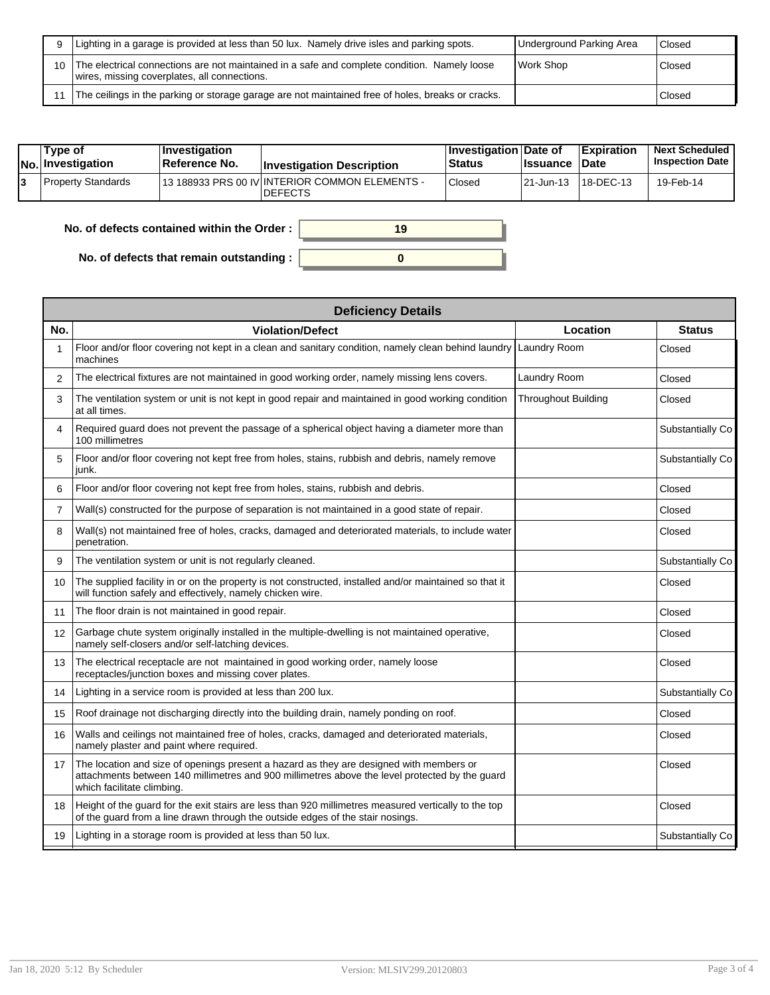| 9 | Lighting in a garage is provided at less than 50 lux. Namely drive isles and parking spots.                                                     | Underground Parking Area | 'Closed |
|---|-------------------------------------------------------------------------------------------------------------------------------------------------|--------------------------|---------|
|   | 10 The electrical connections are not maintained in a safe and complete condition. Namely loose<br>wires, missing coverplates, all connections. | Work Shop                | Closed  |
|   | The ceilings in the parking or storage garage are not maintained free of holes, breaks or cracks.                                               |                          | Closed  |

| Type of<br> No. Investigation | ∣Investiqation<br>∣Reference No. | <b>Investigation Description</b>                                 | <b>Investigation Date of</b><br>Status | <b>Issuance</b> | <b>Expiration</b><br><b>Date</b> | <b>Next Scheduled</b><br><b>Inspection Date</b> |
|-------------------------------|----------------------------------|------------------------------------------------------------------|----------------------------------------|-----------------|----------------------------------|-------------------------------------------------|
| Property Standards            |                                  | 13 188933 PRS 00 IV INTERIOR COMMON ELEMENTS -<br><b>DEFECTS</b> | <b>Closed</b>                          | 21-Jun-13       | 18-DEC-13                        | 19-Feb-14                                       |

**0**

**19**

#### **No. of defects contained within the Order :**

**No. of defects that remain outstanding :**

|     | <b>Deficiency Details</b>                                                                                                                                                                                               |                            |                  |
|-----|-------------------------------------------------------------------------------------------------------------------------------------------------------------------------------------------------------------------------|----------------------------|------------------|
| No. | <b>Violation/Defect</b>                                                                                                                                                                                                 | Location                   | <b>Status</b>    |
|     | Floor and/or floor covering not kept in a clean and sanitary condition, namely clean behind laundry<br>machines                                                                                                         | Laundry Room               | Closed           |
| 2   | The electrical fixtures are not maintained in good working order, namely missing lens covers.                                                                                                                           | Laundry Room               | Closed           |
| 3   | The ventilation system or unit is not kept in good repair and maintained in good working condition<br>at all times.                                                                                                     | <b>Throughout Building</b> | Closed           |
| 4   | Required guard does not prevent the passage of a spherical object having a diameter more than<br>100 millimetres                                                                                                        |                            | Substantially Co |
| 5   | Floor and/or floor covering not kept free from holes, stains, rubbish and debris, namely remove<br>junk.                                                                                                                |                            | Substantially Co |
| 6   | Floor and/or floor covering not kept free from holes, stains, rubbish and debris.                                                                                                                                       |                            | Closed           |
| 7   | Wall(s) constructed for the purpose of separation is not maintained in a good state of repair.                                                                                                                          |                            | Closed           |
| 8   | Wall(s) not maintained free of holes, cracks, damaged and deteriorated materials, to include water<br>penetration.                                                                                                      |                            | Closed           |
| 9   | The ventilation system or unit is not regularly cleaned.                                                                                                                                                                |                            | Substantially Co |
| 10  | The supplied facility in or on the property is not constructed, installed and/or maintained so that it<br>will function safely and effectively, namely chicken wire.                                                    |                            | Closed           |
| 11  | The floor drain is not maintained in good repair.                                                                                                                                                                       |                            | Closed           |
| 12  | Garbage chute system originally installed in the multiple-dwelling is not maintained operative,<br>namely self-closers and/or self-latching devices.                                                                    |                            | Closed           |
| 13  | The electrical receptacle are not maintained in good working order, namely loose<br>receptacles/junction boxes and missing cover plates.                                                                                |                            | Closed           |
| 14  | Lighting in a service room is provided at less than 200 lux.                                                                                                                                                            |                            | Substantially Co |
| 15  | Roof drainage not discharging directly into the building drain, namely ponding on roof.                                                                                                                                 |                            | Closed           |
| 16  | Walls and ceilings not maintained free of holes, cracks, damaged and deteriorated materials,<br>namely plaster and paint where required.                                                                                |                            | Closed           |
| 17  | The location and size of openings present a hazard as they are designed with members or<br>attachments between 140 millimetres and 900 millimetres above the level protected by the guard<br>which facilitate climbing. |                            | Closed           |
| 18  | Height of the quard for the exit stairs are less than 920 millimetres measured vertically to the top<br>of the guard from a line drawn through the outside edges of the stair nosings.                                  |                            | Closed           |
| 19  | Lighting in a storage room is provided at less than 50 lux.                                                                                                                                                             |                            | Substantially Co |
|     |                                                                                                                                                                                                                         |                            |                  |